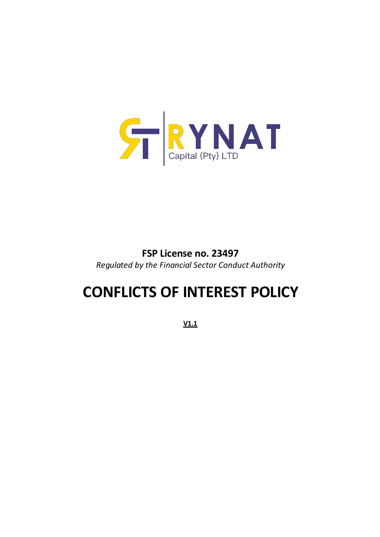

## **FSP License no. 23497** *Regulated by the Financial Sector Conduct Authority*

# **CONFLICTS OF INTEREST POLICY**

**V1.1**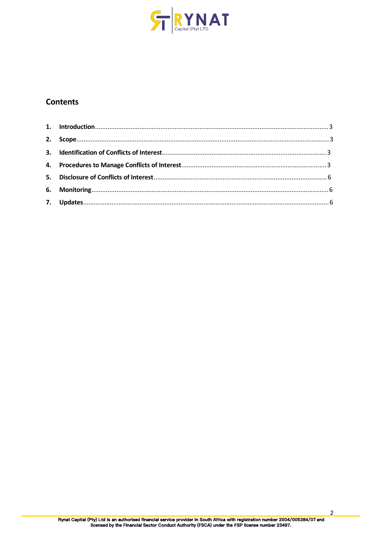

### **Contents**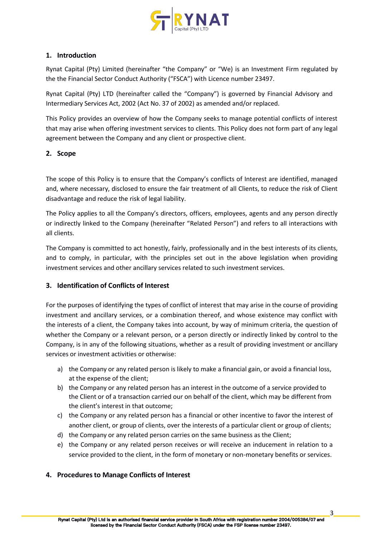

#### **1. Introduction**

Rynat Capital (Pty) Limited (hereinafter "the Company" or "We) is an Investment Firm regulated by the the Financial Sector Conduct Authority ("FSCA") with Licence number 23497.

Rynat Capital (Pty) LTD (hereinafter called the "Company") is governed by Financial Advisory and Intermediary Services Act, 2002 (Act No. 37 of 2002) as amended and/or replaced.

This Policy provides an overview of how the Company seeks to manage potential conflicts of interest that may arise when offering investment services to clients. This Policy does not form part of any legal agreement between the Company and any client or prospective client.

#### **2. Scope**

The scope of this Policy is to ensure that the Company's conflicts of Interest are identified, managed and, where necessary, disclosed to ensure the fair treatment of all Clients, to reduce the risk of Client disadvantage and reduce the risk of legal liability.

The Policy applies to all the Company's directors, officers, employees, agents and any person directly or indirectly linked to the Company (hereinafter "Related Person") and refers to all interactions with all clients.

The Company is committed to act honestly, fairly, professionally and in the best interests of its clients, and to comply, in particular, with the principles set out in the above legislation when providing investment services and other ancillary services related to such investment services.

#### **3. Identification of Conflicts of Interest**

For the purposes of identifying the types of conflict of interest that may arise in the course of providing investment and ancillary services, or a combination thereof, and whose existence may conflict with the interests of a client, the Company takes into account, by way of minimum criteria, the question of whether the Company or a relevant person, or a person directly or indirectly linked by control to the Company, is in any of the following situations, whether as a result of providing investment or ancillary services or investment activities or otherwise:

- a) the Company or any related person is likely to make a financial gain, or avoid a financial loss, at the expense of the client;
- b) the Company or any related person has an interest in the outcome of a service provided to the Client or of a transaction carried our on behalf of the client, which may be different from the client's interest in that outcome;
- c) the Company or any related person has a financial or other incentive to favor the interest of another client, or group of clients, over the interests of a particular client or group of clients;
- d) the Company or any related person carries on the same business as the Client;
- e) the Company or any related person receives or will receive an inducement in relation to a service provided to the client, in the form of monetary or non-monetary benefits or services.

#### **4. Proceduresto Manage Conflicts of Interest**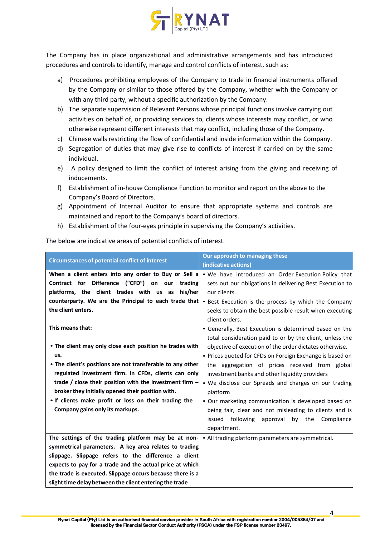

The Company has in place organizational and administrative arrangements and has introduced procedures and controls to identify, manage and control conflicts of interest, such as:

- a) Procedures prohibiting employees of the Company to trade in financial instruments offered by the Company or similar to those offered by the Company, whether with the Company or with any third party, without a specific authorization by the Company.
- b) The separate supervision of Relevant Persons whose principal functions involve carrying out activities on behalf of, or providing services to, clients whose interests may conflict, or who otherwise represent different interests that may conflict, including those of the Company.
- c) Chinese walls restricting the flow of confidential and inside information within the Company.
- d) Segregation of duties that may give rise to conflicts of interest if carried on by the same individual.
- e) A policy designed to limit the conflict of interest arising from the giving and receiving of inducements.
- f) Establishment of in-house Compliance Function to monitor and report on the above to the Company's Board of Directors.<br>g) Appointment of Internal Auditor to ensure that appropriate systems and controls are
- maintained and report to the Company's board of directors.
- h) Establishment of the four-eyes principle in supervising the Company's activities.

The below are indicative areas of potential conflicts of interest.

| <b>Circumstances of potential conflict of interest</b>                                                                   | Our approach to managing these                                                                                     |
|--------------------------------------------------------------------------------------------------------------------------|--------------------------------------------------------------------------------------------------------------------|
|                                                                                                                          | (indicative actions)                                                                                               |
| When a client enters into any order to Buy or Sell a                                                                     | • We have introduced an Order Execution Policy that                                                                |
| Contract for Difference ("CFD") on our trading                                                                           | sets out our obligations in delivering Best Execution to                                                           |
| platforms, the client trades with us as his/her                                                                          | our clients.                                                                                                       |
|                                                                                                                          | counterparty. We are the Principal to each trade that • Best Execution is the process by which the Company         |
| the client enters.                                                                                                       | seeks to obtain the best possible result when executing<br>client orders.                                          |
| This means that:                                                                                                         | • Generally, Best Execution is determined based on the<br>total consideration paid to or by the client, unless the |
| • The client may only close each position he trades with                                                                 | objective of execution of the order dictates otherwise.                                                            |
| us.                                                                                                                      | • Prices quoted for CFDs on Foreign Exchange is based on                                                           |
| • The client's positions are not transferable to any other                                                               | the aggregation of prices received from global                                                                     |
| regulated investment firm. In CFDs, clients can only                                                                     | investment banks and other liquidity providers                                                                     |
| trade / close their position with the investment firm -                                                                  | . We disclose our Spreads and charges on our trading                                                               |
| broker they initially opened their position with.                                                                        | platform                                                                                                           |
| . If clients make profit or loss on their trading the                                                                    | . Our marketing communication is developed based on                                                                |
| Company gains only its markups.                                                                                          | being fair, clear and not misleading to clients and is                                                             |
|                                                                                                                          | issued following approval by the Compliance<br>department.                                                         |
| The settings of the trading platform may be at non- $\vert \cdot \vert$ All trading platform parameters are symmetrical. |                                                                                                                    |
| symmetrical parameters. A key area relates to trading                                                                    |                                                                                                                    |
| slippage. Slippage refers to the difference a client                                                                     |                                                                                                                    |
| expects to pay for a trade and the actual price at which                                                                 |                                                                                                                    |
| the trade is executed. Slippage occurs because there is a                                                                |                                                                                                                    |
| slight time delay between the client entering the trade                                                                  |                                                                                                                    |

4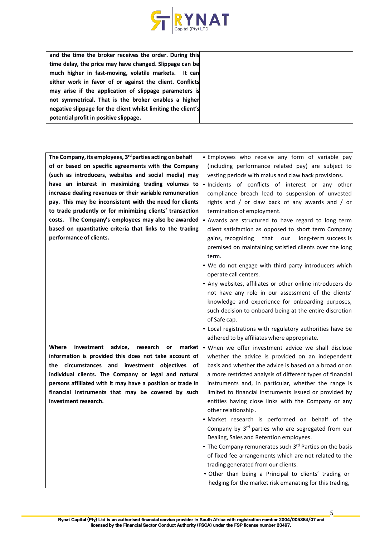

| and the time the broker receives the order. During this       |  |
|---------------------------------------------------------------|--|
| time delay, the price may have changed. Slippage can be       |  |
| much higher in fast-moving, volatile markets. It can          |  |
| either work in favor of or against the client. Conflicts      |  |
| may arise if the application of slippage parameters is        |  |
| not symmetrical. That is the broker enables a higher          |  |
| negative slippage for the client whilst limiting the client's |  |
| potential profit in positive slippage.                        |  |

| The Company, its employees, 3 <sup>rd</sup> parties acting on behalf | . Employees who receive any form of variable pay           |
|----------------------------------------------------------------------|------------------------------------------------------------|
| of or based on specific agreements with the Company                  | (including performance related pay) are subject to         |
| (such as introducers, websites and social media) may                 | vesting periods with malus and claw back provisions.       |
| have an interest in maximizing trading volumes to                    | . Incidents of conflicts of interest or any other          |
| increase dealing revenues or their variable remuneration             | compliance breach lead to suspension of unvested           |
| pay. This may be inconsistent with the need for clients              | rights and / or claw back of any awards and / or           |
| to trade prudently or for minimizing clients' transaction            | termination of employment.                                 |
| costs. The Company's employees may also be awarded                   | • Awards are structured to have regard to long term        |
| based on quantitative criteria that links to the trading             | client satisfaction as opposed to short term Company       |
| performance of clients.                                              | gains, recognizing that our long-term success is           |
|                                                                      | premised on maintaining satisfied clients over the long    |
|                                                                      | term.                                                      |
|                                                                      | . We do not engage with third party introducers which      |
|                                                                      | operate call centers.                                      |
|                                                                      | • Any websites, affiliates or other online introducers do  |
|                                                                      | not have any role in our assessment of the clients'        |
|                                                                      | knowledge and experience for onboarding purposes,          |
|                                                                      | such decision to onboard being at the entire discretion    |
|                                                                      | of Safe cap.                                               |
|                                                                      | . Local registrations with regulatory authorities have be  |
|                                                                      | adhered to by affiliates where appropriate.                |
| Where investment advice, research or<br>market                       | . When we offer investment advice we shall disclose        |
| information is provided this does not take account of                | whether the advice is provided on an independent           |
| the circumstances and investment objectives of                       | basis and whether the advice is based on a broad or on     |
| individual clients. The Company or legal and natural                 | a more restricted analysis of different types of financial |
| persons affiliated with it may have a position or trade in           | instruments and, in particular, whether the range is       |
| financial instruments that may be covered by such                    | limited to financial instruments issued or provided by     |
| investment research.                                                 | entities having close links with the Company or any        |
|                                                                      | other relationship.                                        |
|                                                                      | . Market research is performed on behalf of the            |
|                                                                      | Company by 3rd parties who are segregated from our         |
|                                                                      | Dealing, Sales and Retention employees.                    |
|                                                                      | • The Company remunerates such 3rd Parties on the basis    |
|                                                                      | of fixed fee arrangements which are not related to the     |
|                                                                      | trading generated from our clients.                        |
|                                                                      |                                                            |
|                                                                      | . Other than being a Principal to clients' trading or      |
|                                                                      | hedging for the market risk emanating for this trading,    |

5